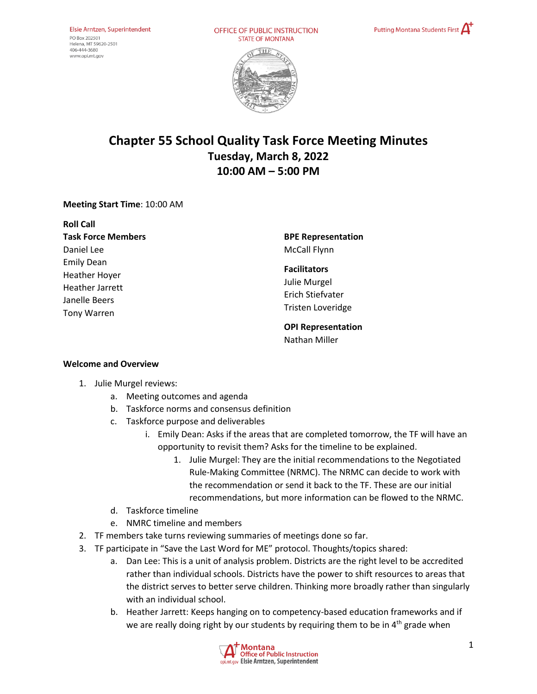OFFICE OF PUBLIC INSTRUCTION **STATE OF MONTANA** 





# **Chapter 55 School Quality Task Force Meeting Minutes Tuesday, March 8, 2022 10:00 AM – 5:00 PM**

## **Meeting Start Time**: 10:00 AM

| <b>Roll Call</b>          |
|---------------------------|
| <b>Task Force Members</b> |
| Daniel Lee                |
| <b>Emily Dean</b>         |
| Heather Hoyer             |
| Heather Jarrett           |
| Janelle Beers             |
| <b>Tony Warren</b>        |
|                           |

**BPE Representation**  McCall Flynn

#### **Facilitators**

Julie Murgel Erich Stiefvater Tristen Loveridge

**OPI Representation**  Nathan Miller

#### **Welcome and Overview**

- 1. Julie Murgel reviews:
	- a. Meeting outcomes and agenda
	- b. Taskforce norms and consensus definition
	- c. Taskforce purpose and deliverables
		- i. Emily Dean: Asks if the areas that are completed tomorrow, the TF will have an opportunity to revisit them? Asks for the timeline to be explained.
			- 1. Julie Murgel: They are the initial recommendations to the Negotiated Rule-Making Committee (NRMC). The NRMC can decide to work with the recommendation or send it back to the TF. These are our initial recommendations, but more information can be flowed to the NRMC.
	- d. Taskforce timeline
	- e. NMRC timeline and members
- 2. TF members take turns reviewing summaries of meetings done so far.
- 3. TF participate in "Save the Last Word for ME" protocol. Thoughts/topics shared:
	- a. Dan Lee: This is a unit of analysis problem. Districts are the right level to be accredited rather than individual schools. Districts have the power to shift resources to areas that the district serves to better serve children. Thinking more broadly rather than singularly with an individual school.
	- b. Heather Jarrett: Keeps hanging on to competency-based education frameworks and if we are really doing right by our students by requiring them to be in 4<sup>th</sup> grade when

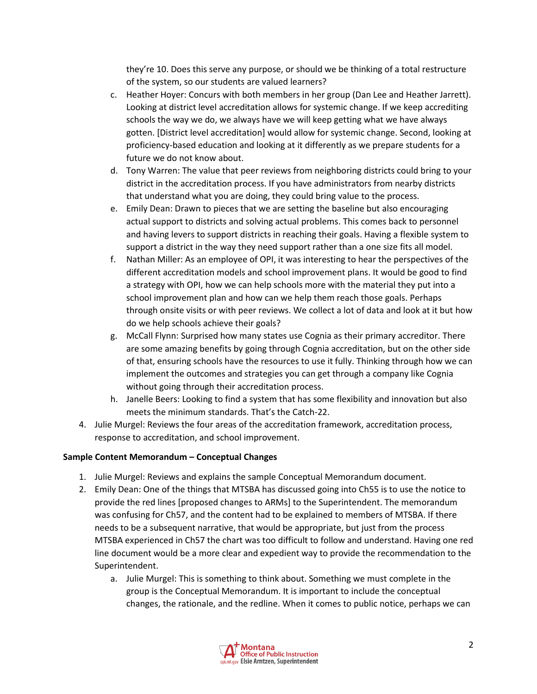they're 10. Does this serve any purpose, or should we be thinking of a total restructure of the system, so our students are valued learners?

- c. Heather Hoyer: Concurs with both members in her group (Dan Lee and Heather Jarrett). Looking at district level accreditation allows for systemic change. If we keep accrediting schools the way we do, we always have we will keep getting what we have always gotten. [District level accreditation] would allow for systemic change. Second, looking at proficiency-based education and looking at it differently as we prepare students for a future we do not know about.
- d. Tony Warren: The value that peer reviews from neighboring districts could bring to your district in the accreditation process. If you have administrators from nearby districts that understand what you are doing, they could bring value to the process.
- e. Emily Dean: Drawn to pieces that we are setting the baseline but also encouraging actual support to districts and solving actual problems. This comes back to personnel and having levers to support districts in reaching their goals. Having a flexible system to support a district in the way they need support rather than a one size fits all model.
- f. Nathan Miller: As an employee of OPI, it was interesting to hear the perspectives of the different accreditation models and school improvement plans. It would be good to find a strategy with OPI, how we can help schools more with the material they put into a school improvement plan and how can we help them reach those goals. Perhaps through onsite visits or with peer reviews. We collect a lot of data and look at it but how do we help schools achieve their goals?
- g. McCall Flynn: Surprised how many states use Cognia as their primary accreditor. There are some amazing benefits by going through Cognia accreditation, but on the other side of that, ensuring schools have the resources to use it fully. Thinking through how we can implement the outcomes and strategies you can get through a company like Cognia without going through their accreditation process.
- h. Janelle Beers: Looking to find a system that has some flexibility and innovation but also meets the minimum standards. That's the Catch-22.
- 4. Julie Murgel: Reviews the four areas of the accreditation framework, accreditation process, response to accreditation, and school improvement.

## **Sample Content Memorandum – Conceptual Changes**

- 1. Julie Murgel: Reviews and explains the sample Conceptual Memorandum document.
- 2. Emily Dean: One of the things that MTSBA has discussed going into Ch55 is to use the notice to provide the red lines [proposed changes to ARMs] to the Superintendent. The memorandum was confusing for Ch57, and the content had to be explained to members of MTSBA. If there needs to be a subsequent narrative, that would be appropriate, but just from the process MTSBA experienced in Ch57 the chart was too difficult to follow and understand. Having one red line document would be a more clear and expedient way to provide the recommendation to the Superintendent.
	- a. Julie Murgel: This is something to think about. Something we must complete in the group is the Conceptual Memorandum. It is important to include the conceptual changes, the rationale, and the redline. When it comes to public notice, perhaps we can

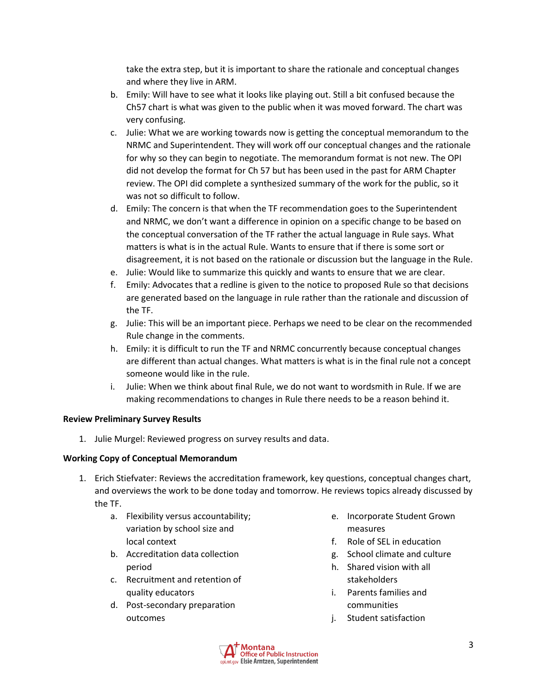take the extra step, but it is important to share the rationale and conceptual changes and where they live in ARM.

- b. Emily: Will have to see what it looks like playing out. Still a bit confused because the Ch57 chart is what was given to the public when it was moved forward. The chart was very confusing.
- c. Julie: What we are working towards now is getting the conceptual memorandum to the NRMC and Superintendent. They will work off our conceptual changes and the rationale for why so they can begin to negotiate. The memorandum format is not new. The OPI did not develop the format for Ch 57 but has been used in the past for ARM Chapter review. The OPI did complete a synthesized summary of the work for the public, so it was not so difficult to follow.
- d. Emily: The concern is that when the TF recommendation goes to the Superintendent and NRMC, we don't want a difference in opinion on a specific change to be based on the conceptual conversation of the TF rather the actual language in Rule says. What matters is what is in the actual Rule. Wants to ensure that if there is some sort or disagreement, it is not based on the rationale or discussion but the language in the Rule.
- e. Julie: Would like to summarize this quickly and wants to ensure that we are clear.
- f. Emily: Advocates that a redline is given to the notice to proposed Rule so that decisions are generated based on the language in rule rather than the rationale and discussion of the TF.
- g. Julie: This will be an important piece. Perhaps we need to be clear on the recommended Rule change in the comments.
- h. Emily: it is difficult to run the TF and NRMC concurrently because conceptual changes are different than actual changes. What matters is what is in the final rule not a concept someone would like in the rule.
- i. Julie: When we think about final Rule, we do not want to wordsmith in Rule. If we are making recommendations to changes in Rule there needs to be a reason behind it.

#### **Review Preliminary Survey Results**

1. Julie Murgel: Reviewed progress on survey results and data.

## **Working Copy of Conceptual Memorandum**

- 1. Erich Stiefvater: Reviews the accreditation framework, key questions, conceptual changes chart, and overviews the work to be done today and tomorrow. He reviews topics already discussed by the TF.
	- a. Flexibility versus accountability; variation by school size and local context
	- b. Accreditation data collection period
	- c. Recruitment and retention of quality educators
	- d. Post-secondary preparation outcomes
- e. Incorporate Student Grown measures
- f. Role of SEL in education
- g. School climate and culture
- h. Shared vision with all stakeholders
- i. Parents families and communities
- j. Student satisfaction

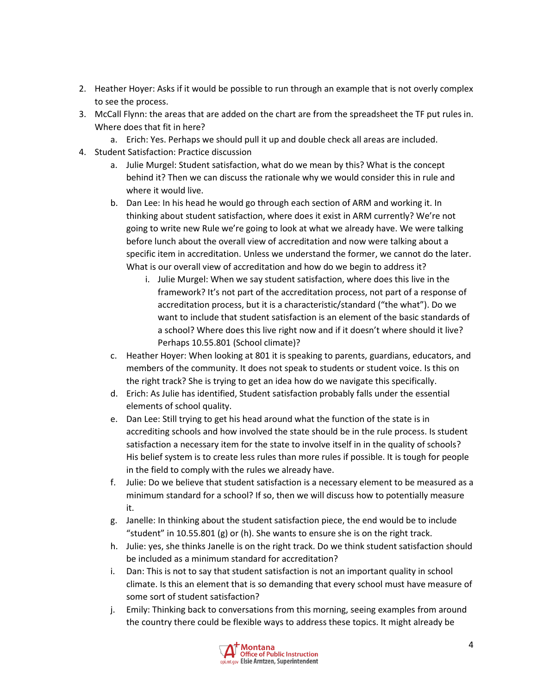- 2. Heather Hoyer: Asks if it would be possible to run through an example that is not overly complex to see the process.
- 3. McCall Flynn: the areas that are added on the chart are from the spreadsheet the TF put rules in. Where does that fit in here?
	- a. Erich: Yes. Perhaps we should pull it up and double check all areas are included.
- 4. Student Satisfaction: Practice discussion
	- a. Julie Murgel: Student satisfaction, what do we mean by this? What is the concept behind it? Then we can discuss the rationale why we would consider this in rule and where it would live.
	- b. Dan Lee: In his head he would go through each section of ARM and working it. In thinking about student satisfaction, where does it exist in ARM currently? We're not going to write new Rule we're going to look at what we already have. We were talking before lunch about the overall view of accreditation and now were talking about a specific item in accreditation. Unless we understand the former, we cannot do the later. What is our overall view of accreditation and how do we begin to address it?
		- i. Julie Murgel: When we say student satisfaction, where does this live in the framework? It's not part of the accreditation process, not part of a response of accreditation process, but it is a characteristic/standard ("the what"). Do we want to include that student satisfaction is an element of the basic standards of a school? Where does this live right now and if it doesn't where should it live? Perhaps 10.55.801 (School climate)?
	- c. Heather Hoyer: When looking at 801 it is speaking to parents, guardians, educators, and members of the community. It does not speak to students or student voice. Is this on the right track? She is trying to get an idea how do we navigate this specifically.
	- d. Erich: As Julie has identified, Student satisfaction probably falls under the essential elements of school quality.
	- e. Dan Lee: Still trying to get his head around what the function of the state is in accrediting schools and how involved the state should be in the rule process. Is student satisfaction a necessary item for the state to involve itself in in the quality of schools? His belief system is to create less rules than more rules if possible. It is tough for people in the field to comply with the rules we already have.
	- f. Julie: Do we believe that student satisfaction is a necessary element to be measured as a minimum standard for a school? If so, then we will discuss how to potentially measure it.
	- g. Janelle: In thinking about the student satisfaction piece, the end would be to include "student" in 10.55.801 (g) or (h). She wants to ensure she is on the right track.
	- h. Julie: yes, she thinks Janelle is on the right track. Do we think student satisfaction should be included as a minimum standard for accreditation?
	- i. Dan: This is not to say that student satisfaction is not an important quality in school climate. Is this an element that is so demanding that every school must have measure of some sort of student satisfaction?
	- j. Emily: Thinking back to conversations from this morning, seeing examples from around the country there could be flexible ways to address these topics. It might already be

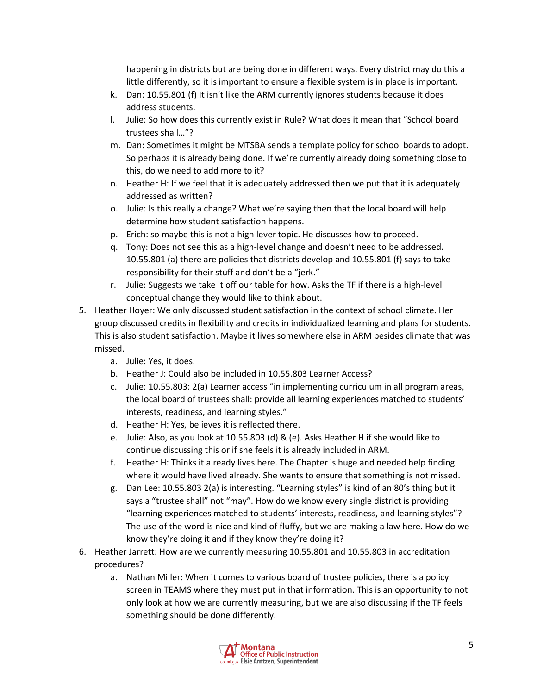happening in districts but are being done in different ways. Every district may do this a little differently, so it is important to ensure a flexible system is in place is important.

- k. Dan: 10.55.801 (f) It isn't like the ARM currently ignores students because it does address students.
- l. Julie: So how does this currently exist in Rule? What does it mean that "School board trustees shall…"?
- m. Dan: Sometimes it might be MTSBA sends a template policy for school boards to adopt. So perhaps it is already being done. If we're currently already doing something close to this, do we need to add more to it?
- n. Heather H: If we feel that it is adequately addressed then we put that it is adequately addressed as written?
- o. Julie: Is this really a change? What we're saying then that the local board will help determine how student satisfaction happens.
- p. Erich: so maybe this is not a high lever topic. He discusses how to proceed.
- q. Tony: Does not see this as a high-level change and doesn't need to be addressed. 10.55.801 (a) there are policies that districts develop and 10.55.801 (f) says to take responsibility for their stuff and don't be a "jerk."
- r. Julie: Suggests we take it off our table for how. Asks the TF if there is a high-level conceptual change they would like to think about.
- 5. Heather Hoyer: We only discussed student satisfaction in the context of school climate. Her group discussed credits in flexibility and credits in individualized learning and plans for students. This is also student satisfaction. Maybe it lives somewhere else in ARM besides climate that was missed.
	- a. Julie: Yes, it does.
	- b. Heather J: Could also be included in 10.55.803 Learner Access?
	- c. Julie: 10.55.803: 2(a) Learner access "in implementing curriculum in all program areas, the local board of trustees shall: provide all learning experiences matched to students' interests, readiness, and learning styles."
	- d. Heather H: Yes, believes it is reflected there.
	- e. Julie: Also, as you look at 10.55.803 (d) & (e). Asks Heather H if she would like to continue discussing this or if she feels it is already included in ARM.
	- f. Heather H: Thinks it already lives here. The Chapter is huge and needed help finding where it would have lived already. She wants to ensure that something is not missed.
	- g. Dan Lee: 10.55.803 2(a) is interesting. "Learning styles" is kind of an 80's thing but it says a "trustee shall" not "may". How do we know every single district is providing "learning experiences matched to students' interests, readiness, and learning styles"? The use of the word is nice and kind of fluffy, but we are making a law here. How do we know they're doing it and if they know they're doing it?
- 6. Heather Jarrett: How are we currently measuring 10.55.801 and 10.55.803 in accreditation procedures?
	- a. Nathan Miller: When it comes to various board of trustee policies, there is a policy screen in TEAMS where they must put in that information. This is an opportunity to not only look at how we are currently measuring, but we are also discussing if the TF feels something should be done differently.

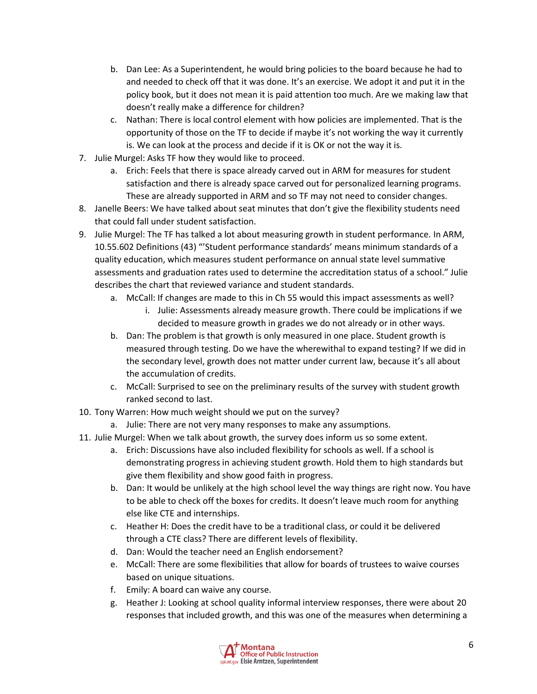- b. Dan Lee: As a Superintendent, he would bring policies to the board because he had to and needed to check off that it was done. It's an exercise. We adopt it and put it in the policy book, but it does not mean it is paid attention too much. Are we making law that doesn't really make a difference for children?
- c. Nathan: There is local control element with how policies are implemented. That is the opportunity of those on the TF to decide if maybe it's not working the way it currently is. We can look at the process and decide if it is OK or not the way it is.
- 7. Julie Murgel: Asks TF how they would like to proceed.
	- a. Erich: Feels that there is space already carved out in ARM for measures for student satisfaction and there is already space carved out for personalized learning programs. These are already supported in ARM and so TF may not need to consider changes.
- 8. Janelle Beers: We have talked about seat minutes that don't give the flexibility students need that could fall under student satisfaction.
- 9. Julie Murgel: The TF has talked a lot about measuring growth in student performance. In ARM, 10.55.602 Definitions (43) "'Student performance standards' means minimum standards of a quality education, which measures student performance on annual state level summative assessments and graduation rates used to determine the accreditation status of a school." Julie describes the chart that reviewed variance and student standards.
	- a. McCall: If changes are made to this in Ch 55 would this impact assessments as well?
		- i. Julie: Assessments already measure growth. There could be implications if we decided to measure growth in grades we do not already or in other ways.
	- b. Dan: The problem is that growth is only measured in one place. Student growth is measured through testing. Do we have the wherewithal to expand testing? If we did in the secondary level, growth does not matter under current law, because it's all about the accumulation of credits.
	- c. McCall: Surprised to see on the preliminary results of the survey with student growth ranked second to last.
- 10. Tony Warren: How much weight should we put on the survey?
	- a. Julie: There are not very many responses to make any assumptions.
- 11. Julie Murgel: When we talk about growth, the survey does inform us so some extent.
	- a. Erich: Discussions have also included flexibility for schools as well. If a school is demonstrating progress in achieving student growth. Hold them to high standards but give them flexibility and show good faith in progress.
	- b. Dan: It would be unlikely at the high school level the way things are right now. You have to be able to check off the boxes for credits. It doesn't leave much room for anything else like CTE and internships.
	- c. Heather H: Does the credit have to be a traditional class, or could it be delivered through a CTE class? There are different levels of flexibility.
	- d. Dan: Would the teacher need an English endorsement?
	- e. McCall: There are some flexibilities that allow for boards of trustees to waive courses based on unique situations.
	- f. Emily: A board can waive any course.
	- g. Heather J: Looking at school quality informal interview responses, there were about 20 responses that included growth, and this was one of the measures when determining a

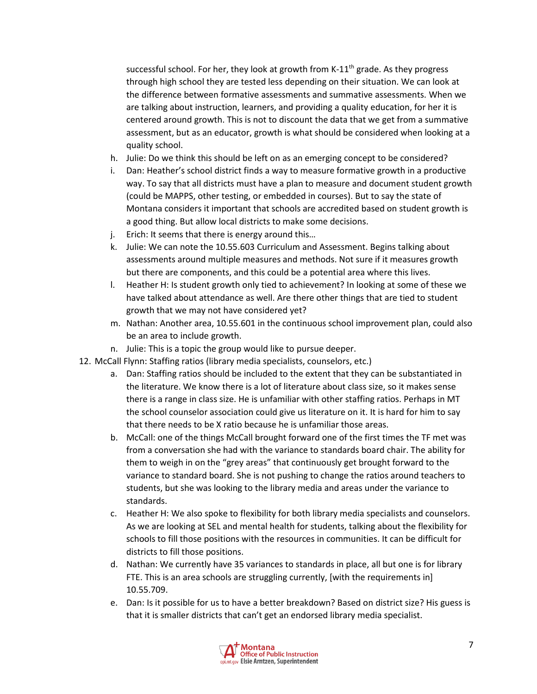successful school. For her, they look at growth from K-11<sup>th</sup> grade. As they progress through high school they are tested less depending on their situation. We can look at the difference between formative assessments and summative assessments. When we are talking about instruction, learners, and providing a quality education, for her it is centered around growth. This is not to discount the data that we get from a summative assessment, but as an educator, growth is what should be considered when looking at a quality school.

- h. Julie: Do we think this should be left on as an emerging concept to be considered?
- i. Dan: Heather's school district finds a way to measure formative growth in a productive way. To say that all districts must have a plan to measure and document student growth (could be MAPPS, other testing, or embedded in courses). But to say the state of Montana considers it important that schools are accredited based on student growth is a good thing. But allow local districts to make some decisions.
- j. Erich: It seems that there is energy around this…
- k. Julie: We can note the 10.55.603 Curriculum and Assessment. Begins talking about assessments around multiple measures and methods. Not sure if it measures growth but there are components, and this could be a potential area where this lives.
- l. Heather H: Is student growth only tied to achievement? In looking at some of these we have talked about attendance as well. Are there other things that are tied to student growth that we may not have considered yet?
- m. Nathan: Another area, 10.55.601 in the continuous school improvement plan, could also be an area to include growth.
- n. Julie: This is a topic the group would like to pursue deeper.
- 12. McCall Flynn: Staffing ratios (library media specialists, counselors, etc.)
	- a. Dan: Staffing ratios should be included to the extent that they can be substantiated in the literature. We know there is a lot of literature about class size, so it makes sense there is a range in class size. He is unfamiliar with other staffing ratios. Perhaps in MT the school counselor association could give us literature on it. It is hard for him to say that there needs to be X ratio because he is unfamiliar those areas.
	- b. McCall: one of the things McCall brought forward one of the first times the TF met was from a conversation she had with the variance to standards board chair. The ability for them to weigh in on the "grey areas" that continuously get brought forward to the variance to standard board. She is not pushing to change the ratios around teachers to students, but she was looking to the library media and areas under the variance to standards.
	- c. Heather H: We also spoke to flexibility for both library media specialists and counselors. As we are looking at SEL and mental health for students, talking about the flexibility for schools to fill those positions with the resources in communities. It can be difficult for districts to fill those positions.
	- d. Nathan: We currently have 35 variances to standards in place, all but one is for library FTE. This is an area schools are struggling currently, [with the requirements in] 10.55.709.
	- e. Dan: Is it possible for us to have a better breakdown? Based on district size? His guess is that it is smaller districts that can't get an endorsed library media specialist.

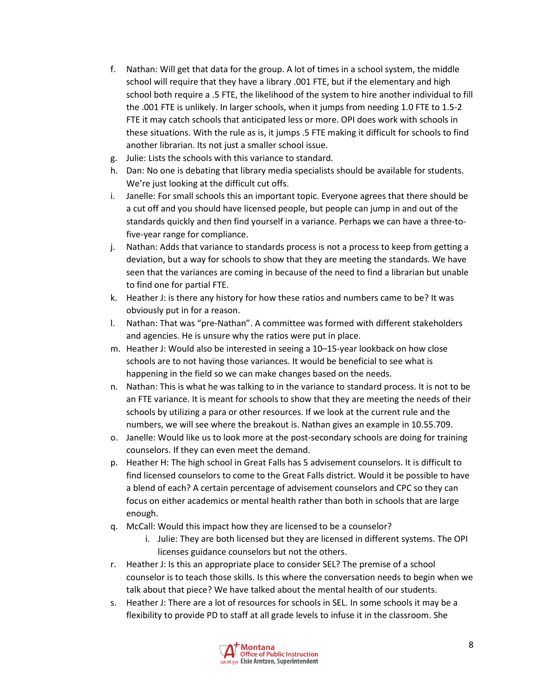- f. Nathan: Will get that data for the group. A lot of times in a school system, the middle school will require that they have a library .001 FTE, but if the elementary and high school both require a .5 FTE, the likelihood of the system to hire another individual to fill the .001 FTE is unlikely. In larger schools, when it jumps from needing 1.0 FTE to 1.5-2 FTE it may catch schools that anticipated less or more. OPI does work with schools in these situations. With the rule as is, it jumps .5 FTE making it difficult for schools to find another librarian. Its not just a smaller school issue.
- g. Julie: Lists the schools with this variance to standard.
- h. Dan: No one is debating that library media specialists should be available for students. We're just looking at the difficult cut offs.
- i. Janelle: For small schools this an important topic. Everyone agrees that there should be a cut off and you should have licensed people, but people can jump in and out of the standards quickly and then find yourself in a variance. Perhaps we can have a three-tofive-year range for compliance.
- j. Nathan: Adds that variance to standards process is not a process to keep from getting a deviation, but a way for schools to show that they are meeting the standards. We have seen that the variances are coming in because of the need to find a librarian but unable to find one for partial FTE.
- k. Heather J: is there any history for how these ratios and numbers came to be? It was obviously put in for a reason.
- l. Nathan: That was "pre-Nathan". A committee was formed with different stakeholders and agencies. He is unsure why the ratios were put in place.
- m. Heather J: Would also be interested in seeing a 10–15-year lookback on how close schools are to not having those variances. It would be beneficial to see what is happening in the field so we can make changes based on the needs.
- n. Nathan: This is what he was talking to in the variance to standard process. It is not to be an FTE variance. It is meant for schools to show that they are meeting the needs of their schools by utilizing a para or other resources. If we look at the current rule and the numbers, we will see where the breakout is. Nathan gives an example in 10.55.709.
- o. Janelle: Would like us to look more at the post-secondary schools are doing for training counselors. If they can even meet the demand.
- p. Heather H: The high school in Great Falls has 5 advisement counselors. It is difficult to find licensed counselors to come to the Great Falls district. Would it be possible to have a blend of each? A certain percentage of advisement counselors and CPC so they can focus on either academics or mental health rather than both in schools that are large enough.
- q. McCall: Would this impact how they are licensed to be a counselor?
	- i. Julie: They are both licensed but they are licensed in different systems. The OPI licenses guidance counselors but not the others.
- r. Heather J: Is this an appropriate place to consider SEL? The premise of a school counselor is to teach those skills. Is this where the conversation needs to begin when we talk about that piece? We have talked about the mental health of our students.
- s. Heather J: There are a lot of resources for schools in SEL. In some schools it may be a flexibility to provide PD to staff at all grade levels to infuse it in the classroom. She

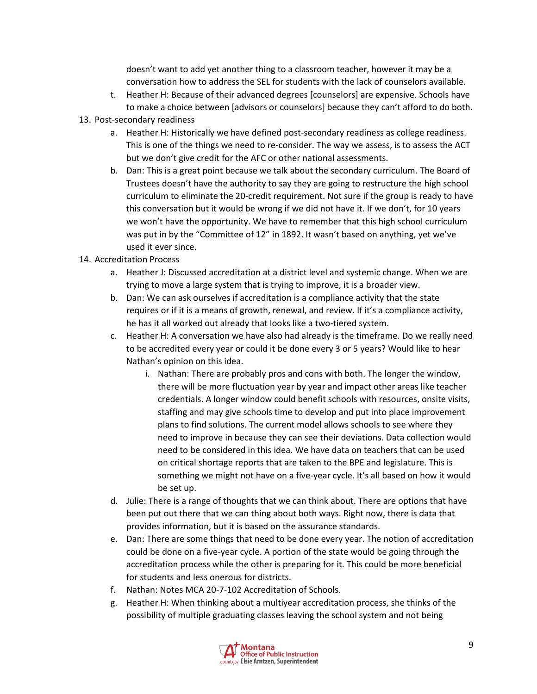doesn't want to add yet another thing to a classroom teacher, however it may be a conversation how to address the SEL for students with the lack of counselors available.

- t. Heather H: Because of their advanced degrees [counselors] are expensive. Schools have to make a choice between [advisors or counselors] because they can't afford to do both.
- 13. Post-secondary readiness
	- a. Heather H: Historically we have defined post-secondary readiness as college readiness. This is one of the things we need to re-consider. The way we assess, is to assess the ACT but we don't give credit for the AFC or other national assessments.
	- b. Dan: This is a great point because we talk about the secondary curriculum. The Board of Trustees doesn't have the authority to say they are going to restructure the high school curriculum to eliminate the 20-credit requirement. Not sure if the group is ready to have this conversation but it would be wrong if we did not have it. If we don't, for 10 years we won't have the opportunity. We have to remember that this high school curriculum was put in by the "Committee of 12" in 1892. It wasn't based on anything, yet we've used it ever since.
- 14. Accreditation Process
	- a. Heather J: Discussed accreditation at a district level and systemic change. When we are trying to move a large system that is trying to improve, it is a broader view.
	- b. Dan: We can ask ourselves if accreditation is a compliance activity that the state requires or if it is a means of growth, renewal, and review. If it's a compliance activity, he has it all worked out already that looks like a two-tiered system.
	- c. Heather H: A conversation we have also had already is the timeframe. Do we really need to be accredited every year or could it be done every 3 or 5 years? Would like to hear Nathan's opinion on this idea.
		- i. Nathan: There are probably pros and cons with both. The longer the window, there will be more fluctuation year by year and impact other areas like teacher credentials. A longer window could benefit schools with resources, onsite visits, staffing and may give schools time to develop and put into place improvement plans to find solutions. The current model allows schools to see where they need to improve in because they can see their deviations. Data collection would need to be considered in this idea. We have data on teachers that can be used on critical shortage reports that are taken to the BPE and legislature. This is something we might not have on a five-year cycle. It's all based on how it would be set up.
	- d. Julie: There is a range of thoughts that we can think about. There are options that have been put out there that we can thing about both ways. Right now, there is data that provides information, but it is based on the assurance standards.
	- e. Dan: There are some things that need to be done every year. The notion of accreditation could be done on a five-year cycle. A portion of the state would be going through the accreditation process while the other is preparing for it. This could be more beneficial for students and less onerous for districts.
	- f. Nathan: Notes MCA 20-7-102 Accreditation of Schools.
	- g. Heather H: When thinking about a multiyear accreditation process, she thinks of the possibility of multiple graduating classes leaving the school system and not being

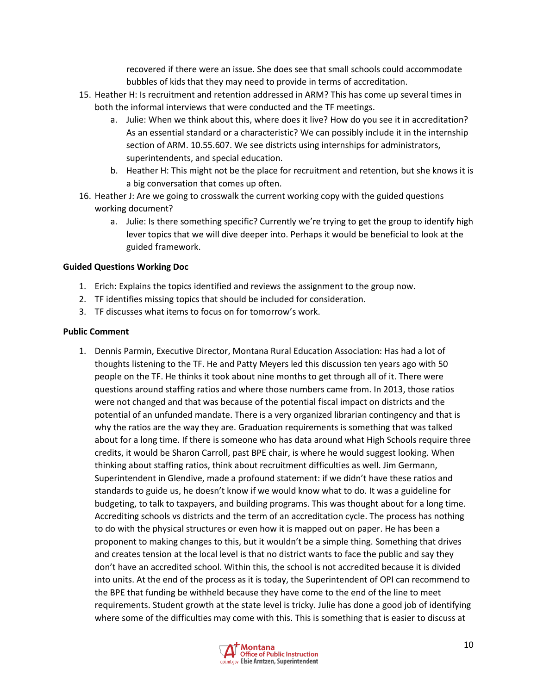recovered if there were an issue. She does see that small schools could accommodate bubbles of kids that they may need to provide in terms of accreditation.

- 15. Heather H: Is recruitment and retention addressed in ARM? This has come up several times in both the informal interviews that were conducted and the TF meetings.
	- a. Julie: When we think about this, where does it live? How do you see it in accreditation? As an essential standard or a characteristic? We can possibly include it in the internship section of ARM. 10.55.607. We see districts using internships for administrators, superintendents, and special education.
	- b. Heather H: This might not be the place for recruitment and retention, but she knows it is a big conversation that comes up often.
- 16. Heather J: Are we going to crosswalk the current working copy with the guided questions working document?
	- a. Julie: Is there something specific? Currently we're trying to get the group to identify high lever topics that we will dive deeper into. Perhaps it would be beneficial to look at the guided framework.

## **Guided Questions Working Doc**

- 1. Erich: Explains the topics identified and reviews the assignment to the group now.
- 2. TF identifies missing topics that should be included for consideration.
- 3. TF discusses what items to focus on for tomorrow's work.

#### **Public Comment**

1. Dennis Parmin, Executive Director, Montana Rural Education Association: Has had a lot of thoughts listening to the TF. He and Patty Meyers led this discussion ten years ago with 50 people on the TF. He thinks it took about nine months to get through all of it. There were questions around staffing ratios and where those numbers came from. In 2013, those ratios were not changed and that was because of the potential fiscal impact on districts and the potential of an unfunded mandate. There is a very organized librarian contingency and that is why the ratios are the way they are. Graduation requirements is something that was talked about for a long time. If there is someone who has data around what High Schools require three credits, it would be Sharon Carroll, past BPE chair, is where he would suggest looking. When thinking about staffing ratios, think about recruitment difficulties as well. Jim Germann, Superintendent in Glendive, made a profound statement: if we didn't have these ratios and standards to guide us, he doesn't know if we would know what to do. It was a guideline for budgeting, to talk to taxpayers, and building programs. This was thought about for a long time. Accrediting schools vs districts and the term of an accreditation cycle. The process has nothing to do with the physical structures or even how it is mapped out on paper. He has been a proponent to making changes to this, but it wouldn't be a simple thing. Something that drives and creates tension at the local level is that no district wants to face the public and say they don't have an accredited school. Within this, the school is not accredited because it is divided into units. At the end of the process as it is today, the Superintendent of OPI can recommend to the BPE that funding be withheld because they have come to the end of the line to meet requirements. Student growth at the state level is tricky. Julie has done a good job of identifying where some of the difficulties may come with this. This is something that is easier to discuss at